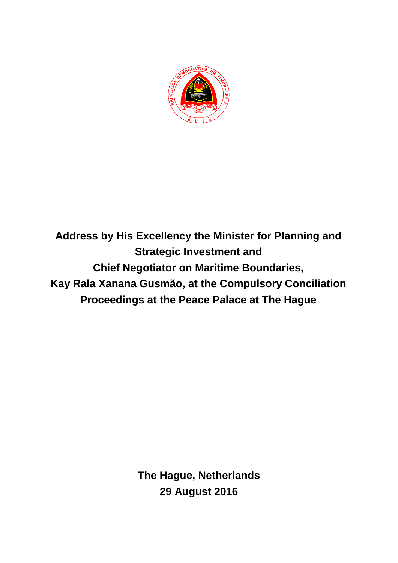

**Address by His Excellency the Minister for Planning and Strategic Investment and Chief Negotiator on Maritime Boundaries, Kay Rala Xanana Gusmão, at the Compulsory Conciliation Proceedings at the Peace Palace at The Hague**

> **The Hague, Netherlands 29 August 2016**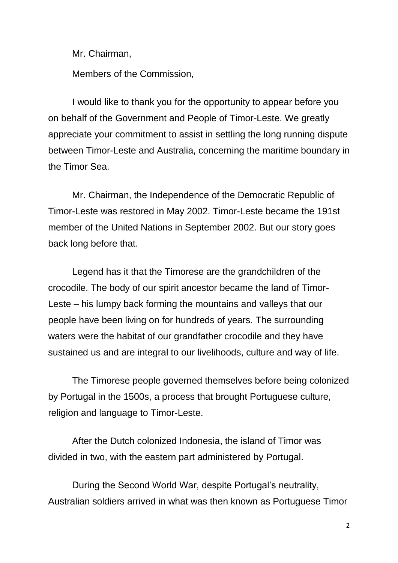Mr. Chairman,

Members of the Commission,

I would like to thank you for the opportunity to appear before you on behalf of the Government and People of Timor-Leste. We greatly appreciate your commitment to assist in settling the long running dispute between Timor-Leste and Australia, concerning the maritime boundary in the Timor Sea.

Mr. Chairman, the Independence of the Democratic Republic of Timor-Leste was restored in May 2002. Timor-Leste became the 191st member of the United Nations in September 2002. But our story goes back long before that.

Legend has it that the Timorese are the grandchildren of the crocodile. The body of our spirit ancestor became the land of Timor-Leste – his lumpy back forming the mountains and valleys that our people have been living on for hundreds of years. The surrounding waters were the habitat of our grandfather crocodile and they have sustained us and are integral to our livelihoods, culture and way of life.

The Timorese people governed themselves before being colonized by Portugal in the 1500s, a process that brought Portuguese culture, religion and language to Timor-Leste.

After the Dutch colonized Indonesia, the island of Timor was divided in two, with the eastern part administered by Portugal.

During the Second World War, despite Portugal's neutrality, Australian soldiers arrived in what was then known as Portuguese Timor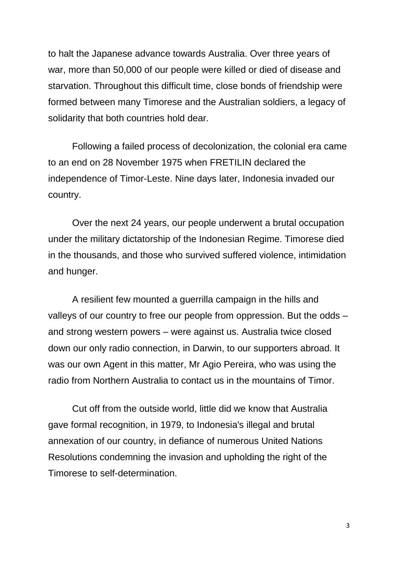to halt the Japanese advance towards Australia. Over three years of war, more than 50,000 of our people were killed or died of disease and starvation. Throughout this difficult time, close bonds of friendship were formed between many Timorese and the Australian soldiers, a legacy of solidarity that both countries hold dear.

Following a failed process of decolonization, the colonial era came to an end on 28 November 1975 when FRETILIN declared the independence of Timor-Leste. Nine days later, Indonesia invaded our country.

Over the next 24 years, our people underwent a brutal occupation under the military dictatorship of the Indonesian Regime. Timorese died in the thousands, and those who survived suffered violence, intimidation and hunger.

A resilient few mounted a guerrilla campaign in the hills and valleys of our country to free our people from oppression. But the odds – and strong western powers – were against us. Australia twice closed down our only radio connection, in Darwin, to our supporters abroad. It was our own Agent in this matter, Mr Agio Pereira, who was using the radio from Northern Australia to contact us in the mountains of Timor.

Cut off from the outside world, little did we know that Australia gave formal recognition, in 1979, to Indonesia's illegal and brutal annexation of our country, in defiance of numerous United Nations Resolutions condemning the invasion and upholding the right of the Timorese to self-determination.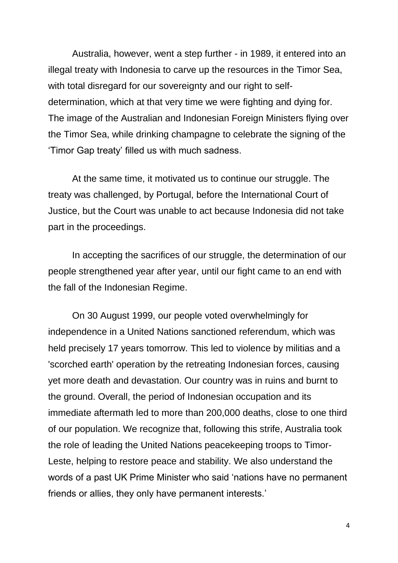Australia, however, went a step further - in 1989, it entered into an illegal treaty with Indonesia to carve up the resources in the Timor Sea, with total disregard for our sovereignty and our right to selfdetermination, which at that very time we were fighting and dying for. The image of the Australian and Indonesian Foreign Ministers flying over the Timor Sea, while drinking champagne to celebrate the signing of the 'Timor Gap treaty' filled us with much sadness.

At the same time, it motivated us to continue our struggle. The treaty was challenged, by Portugal, before the International Court of Justice, but the Court was unable to act because Indonesia did not take part in the proceedings.

In accepting the sacrifices of our struggle, the determination of our people strengthened year after year, until our fight came to an end with the fall of the Indonesian Regime.

On 30 August 1999, our people voted overwhelmingly for independence in a United Nations sanctioned referendum, which was held precisely 17 years tomorrow. This led to violence by militias and a 'scorched earth' operation by the retreating Indonesian forces, causing yet more death and devastation. Our country was in ruins and burnt to the ground. Overall, the period of Indonesian occupation and its immediate aftermath led to more than 200,000 deaths, close to one third of our population. We recognize that, following this strife, Australia took the role of leading the United Nations peacekeeping troops to Timor-Leste, helping to restore peace and stability. We also understand the words of a past UK Prime Minister who said 'nations have no permanent friends or allies, they only have permanent interests.'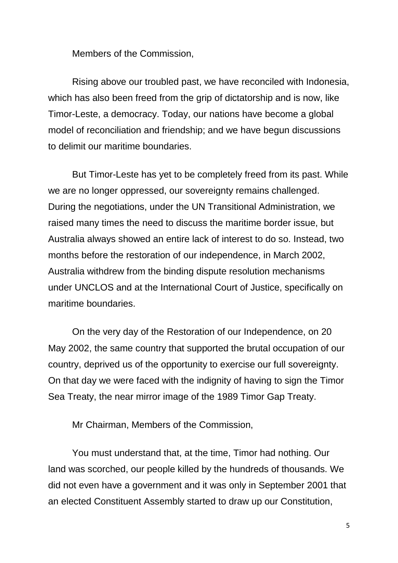Members of the Commission,

Rising above our troubled past, we have reconciled with Indonesia, which has also been freed from the grip of dictatorship and is now, like Timor-Leste, a democracy. Today, our nations have become a global model of reconciliation and friendship; and we have begun discussions to delimit our maritime boundaries.

But Timor-Leste has yet to be completely freed from its past. While we are no longer oppressed, our sovereignty remains challenged. During the negotiations, under the UN Transitional Administration, we raised many times the need to discuss the maritime border issue, but Australia always showed an entire lack of interest to do so. Instead, two months before the restoration of our independence, in March 2002, Australia withdrew from the binding dispute resolution mechanisms under UNCLOS and at the International Court of Justice, specifically on maritime boundaries.

On the very day of the Restoration of our Independence, on 20 May 2002, the same country that supported the brutal occupation of our country, deprived us of the opportunity to exercise our full sovereignty. On that day we were faced with the indignity of having to sign the Timor Sea Treaty, the near mirror image of the 1989 Timor Gap Treaty.

Mr Chairman, Members of the Commission,

You must understand that, at the time, Timor had nothing. Our land was scorched, our people killed by the hundreds of thousands. We did not even have a government and it was only in September 2001 that an elected Constituent Assembly started to draw up our Constitution,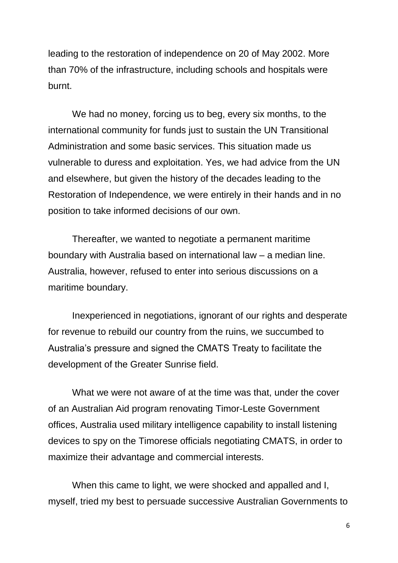leading to the restoration of independence on 20 of May 2002. More than 70% of the infrastructure, including schools and hospitals were burnt.

We had no money, forcing us to beg, every six months, to the international community for funds just to sustain the UN Transitional Administration and some basic services. This situation made us vulnerable to duress and exploitation. Yes, we had advice from the UN and elsewhere, but given the history of the decades leading to the Restoration of Independence, we were entirely in their hands and in no position to take informed decisions of our own.

Thereafter, we wanted to negotiate a permanent maritime boundary with Australia based on international law – a median line. Australia, however, refused to enter into serious discussions on a maritime boundary.

Inexperienced in negotiations, ignorant of our rights and desperate for revenue to rebuild our country from the ruins, we succumbed to Australia's pressure and signed the CMATS Treaty to facilitate the development of the Greater Sunrise field.

What we were not aware of at the time was that, under the cover of an Australian Aid program renovating Timor-Leste Government offices, Australia used military intelligence capability to install listening devices to spy on the Timorese officials negotiating CMATS, in order to maximize their advantage and commercial interests.

When this came to light, we were shocked and appalled and I, myself, tried my best to persuade successive Australian Governments to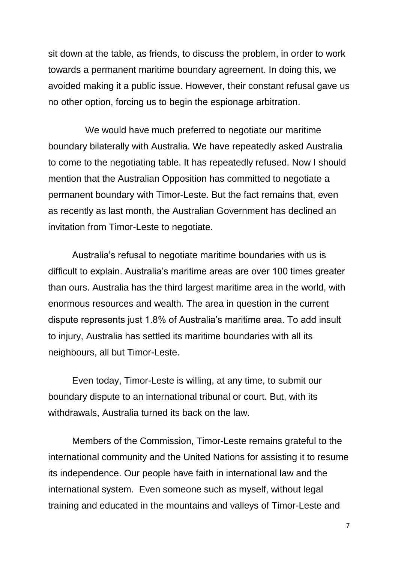sit down at the table, as friends, to discuss the problem, in order to work towards a permanent maritime boundary agreement. In doing this, we avoided making it a public issue. However, their constant refusal gave us no other option, forcing us to begin the espionage arbitration.

 We would have much preferred to negotiate our maritime boundary bilaterally with Australia. We have repeatedly asked Australia to come to the negotiating table. It has repeatedly refused. Now I should mention that the Australian Opposition has committed to negotiate a permanent boundary with Timor-Leste. But the fact remains that, even as recently as last month, the Australian Government has declined an invitation from Timor-Leste to negotiate.

Australia's refusal to negotiate maritime boundaries with us is difficult to explain. Australia's maritime areas are over 100 times greater than ours. Australia has the third largest maritime area in the world, with enormous resources and wealth. The area in question in the current dispute represents just 1.8% of Australia's maritime area. To add insult to injury, Australia has settled its maritime boundaries with all its neighbours, all but Timor-Leste.

Even today, Timor-Leste is willing, at any time, to submit our boundary dispute to an international tribunal or court. But, with its withdrawals, Australia turned its back on the law.

Members of the Commission, Timor-Leste remains grateful to the international community and the United Nations for assisting it to resume its independence. Our people have faith in international law and the international system. Even someone such as myself, without legal training and educated in the mountains and valleys of Timor-Leste and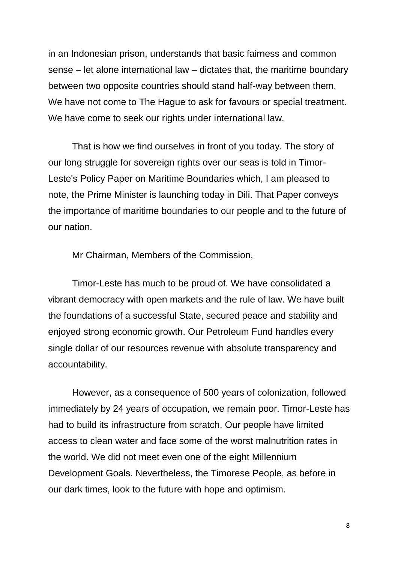in an Indonesian prison, understands that basic fairness and common sense – let alone international law – dictates that, the maritime boundary between two opposite countries should stand half-way between them. We have not come to The Hague to ask for favours or special treatment. We have come to seek our rights under international law.

That is how we find ourselves in front of you today. The story of our long struggle for sovereign rights over our seas is told in Timor-Leste's Policy Paper on Maritime Boundaries which, I am pleased to note, the Prime Minister is launching today in Dili. That Paper conveys the importance of maritime boundaries to our people and to the future of our nation.

Mr Chairman, Members of the Commission,

Timor-Leste has much to be proud of. We have consolidated a vibrant democracy with open markets and the rule of law. We have built the foundations of a successful State, secured peace and stability and enjoyed strong economic growth. Our Petroleum Fund handles every single dollar of our resources revenue with absolute transparency and accountability.

However, as a consequence of 500 years of colonization, followed immediately by 24 years of occupation, we remain poor. Timor-Leste has had to build its infrastructure from scratch. Our people have limited access to clean water and face some of the worst malnutrition rates in the world. We did not meet even one of the eight Millennium Development Goals. Nevertheless, the Timorese People, as before in our dark times, look to the future with hope and optimism.